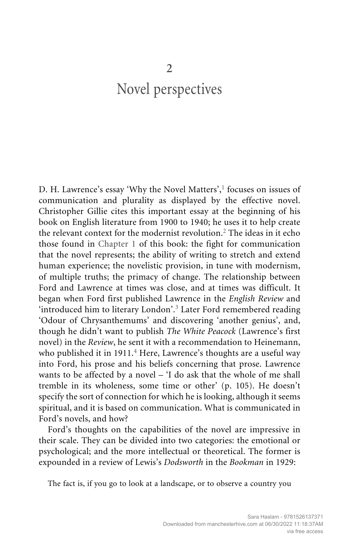# **2** [Novel perspectives](#page--1-0)

D. H. Lawrence's essay 'Why the Novel Matters',<sup>[1](#page--1-0)</sup> focuses on issues of communication and plurality as displayed by the effective novel. Christopher Gillie cites this important essay at the beginning of his book on English literature from 1900 to 1940; he uses it to help create the relevant context for the modernist revolution.[2](#page--1-0) The ideas in it echo those found in [Chapter 1](#page--1-0) of this book: the fight for communication that the novel represents; the ability of writing to stretch and extend human experience; the novelistic provision, in tune with modernism, of multiple truths; the primacy of change. The relationship between Ford and Lawrence at times was close, and at times was difficult. It began when Ford first published Lawrence in the *English Review* and 'introduced him to literary London'.[3](#page--1-0) Later Ford remembered reading 'Odour of Chrysanthemums' and discovering 'another genius', and, though he didn't want to publish *The White Peacock* (Lawrence's first novel) in the *Review*, he sent it with a recommendation to Heinemann, who published it in  $1911<sup>4</sup>$  $1911<sup>4</sup>$  $1911<sup>4</sup>$  Here, Lawrence's thoughts are a useful way into Ford, his prose and his beliefs concerning that prose. Lawrence wants to be affected by a novel – 'I do ask that the whole of me shall tremble in its wholeness, some time or other' (p. 105). He doesn't specify the sort of connection for which he is looking, although it seems spiritual, and it is based on communication. What is communicated in Ford's novels, and how?

Ford's thoughts on the capabilities of the novel are impressive in their scale. They can be divided into two categories: the emotional or psychological; and the more intellectual or theoretical. The former is expounded in a review of Lewis's *Dodsworth* in the *Bookman* in 1929:

The fact is, if you go to look at a landscape, or to observe a country you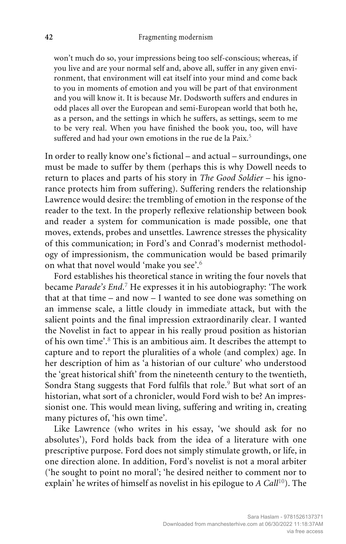won't much do so, your impressions being too self-conscious; whereas, if you live and are your normal self and, above all, suffer in any given environment, that environment will eat itself into your mind and come back to you in moments of emotion and you will be part of that environment and you will know it. It is because Mr. Dodsworth suffers and endures in odd places all over the European and semi-European world that both he, as a person, and the settings in which he suffers, as settings, seem to me to be very real. When you have finished the book you, too, will have suffered and had your own emotions in the rue de la Paix.<sup>[5](#page--1-0)</sup>

In order to really know one's fictional – and actual – surroundings, one must be made to suffer by them (perhaps this is why Dowell needs to return to places and parts of his story in *The Good Soldier* – his ignorance protects him from suffering). Suffering renders the relationship Lawrence would desire: the trembling of emotion in the response of the reader to the text. In the properly reflexive relationship between book and reader a system for communication is made possible, one that moves, extends, probes and unsettles. Lawrence stresses the physicality of this communication; in Ford's and Conrad's modernist methodology of impressionism, the communication would be based primarily on what that novel would 'make you see'.[6](#page--1-0)

Ford establishes his theoretical stance in writing the four novels that became Parade's End.<sup>[7](#page--1-0)</sup> He expresses it in his autobiography: 'The work that at that time – and now – I wanted to see done was something on an immense scale, a little cloudy in immediate attack, but with the salient points and the final impression extraordinarily clear. I wanted the Novelist in fact to appear in his really proud position as historian of his own time'.[8](#page--1-0) This is an ambitious aim. It describes the attempt to capture and to report the pluralities of a whole (and complex) age. In her description of him as 'a historian of our culture' who understood the 'great historical shift' from the nineteenth century to the twentieth, Sondra Stang suggests that Ford fulfils that role.<sup>[9](#page--1-0)</sup> But what sort of an historian, what sort of a chronicler, would Ford wish to be? An impressionist one. This would mean living, suffering and writing in, creating many pictures of, 'his own time'.

Like Lawrence (who writes in his essay, 'we should ask for no absolutes'), Ford holds back from the idea of a literature with one prescriptive purpose. Ford does not simply stimulate growth, or life, in one direction alone. In addition, Ford's novelist is not a moral arbiter ('he sought to point no moral'; 'he desired neither to comment nor to explain' he writes of himself as novelist in his epilogue to *A Call*<sup>[10](#page--1-0)</sup>). The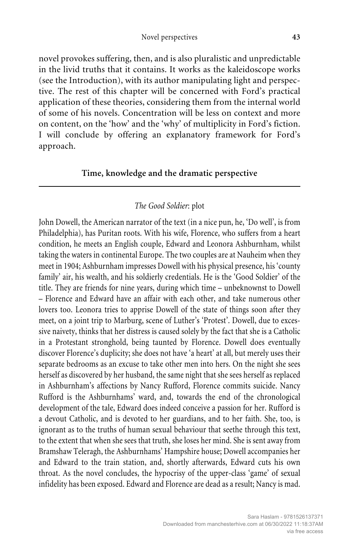novel provokes suffering, then, and is also pluralistic and unpredictable in the livid truths that it contains. It works as the kaleidoscope works (see the Introduction), with its author manipulating light and perspective. The rest of this chapter will be concerned with Ford's practical application of these theories, considering them from the internal world of some of his novels. Concentration will be less on context and more on content, on the 'how' and the 'why' of multiplicity in Ford's fiction. I will conclude by offering an explanatory framework for Ford's approach.

## **Time, knowledge and the dramatic perspective**

## *The Good Soldier*: plot

John Dowell, the American narrator of the text (in a nice pun, he, 'Do well', is from Philadelphia), has Puritan roots. With his wife, Florence, who suffers from a heart condition, he meets an English couple, Edward and Leonora Ashburnham, whilst taking the waters in continental Europe. The two couples are at Nauheim when they meet in 1904; Ashburnham impresses Dowell with his physical presence, his 'county family' air, his wealth, and his soldierly credentials. He is the 'Good Soldier' of the title. They are friends for nine years, during which time – unbeknownst to Dowell – Florence and Edward have an affair with each other, and take numerous other lovers too. Leonora tries to apprise Dowell of the state of things soon after they meet, on a joint trip to Marburg, scene of Luther's 'Protest'. Dowell, due to excessive naivety, thinks that her distress is caused solely by the fact that she is a Catholic in a Protestant stronghold, being taunted by Florence. Dowell does eventually discover Florence's duplicity; she does not have 'a heart' at all, but merely uses their separate bedrooms as an excuse to take other men into hers. On the night she sees herself as discovered by her husband, the same night that she sees herself as replaced in Ashburnham's affections by Nancy Rufford, Florence commits suicide. Nancy Rufford is the Ashburnhams' ward, and, towards the end of the chronological development of the tale, Edward does indeed conceive a passion for her. Rufford is a devout Catholic, and is devoted to her guardians, and to her faith. She, too, is ignorant as to the truths of human sexual behaviour that seethe through this text, to the extent that when she sees that truth, she loses her mind. She is sent away from Bramshaw Teleragh, the Ashburnhams' Hampshire house; Dowell accompanies her and Edward to the train station, and, shortly afterwards, Edward cuts his own throat. As the novel concludes, the hypocrisy of the upper-class 'game' of sexual infidelity has been exposed. Edward and Florence are dead as a result; Nancy is mad.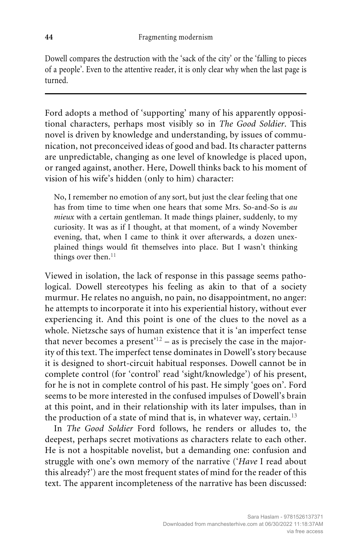Dowell compares the destruction with the 'sack of the city' or the 'falling to pieces of a people'. Even to the attentive reader, it is only clear why when the last page is turned.

Ford adopts a method of 'supporting' many of his apparently oppositional characters, perhaps most visibly so in *The Good Soldier*. This novel is driven by knowledge and understanding, by issues of communication, not preconceived ideas of good and bad. Its character patterns are unpredictable, changing as one level of knowledge is placed upon, or ranged against, another. Here, Dowell thinks back to his moment of vision of his wife's hidden (only to him) character:

No, I remember no emotion of any sort, but just the clear feeling that one has from time to time when one hears that some Mrs. So-and-So is *au mieux* with a certain gentleman. It made things plainer, suddenly, to my curiosity. It was as if I thought, at that moment, of a windy November evening, that, when I came to think it over afterwards, a dozen unexplained things would fit themselves into place. But I wasn't thinking things over then. $11$ 

Viewed in isolation, the lack of response in this passage seems pathological. Dowell stereotypes his feeling as akin to that of a society murmur. He relates no anguish, no pain, no disappointment, no anger: he attempts to incorporate it into his experiential history, without ever experiencing it. And this point is one of the clues to the novel as a whole. Nietzsche says of human existence that it is 'an imperfect tense that never becomes a present<sup> $12$ </sup> – as is precisely the case in the majority of this text. The imperfect tense dominates in Dowell's story because it is designed to short-circuit habitual responses. Dowell cannot be in complete control (for 'control' read 'sight/knowledge') of his present, for he is not in complete control of his past. He simply 'goes on'. Ford seems to be more interested in the confused impulses of Dowell's brain at this point, and in their relationship with its later impulses, than in the production of a state of mind that is, in whatever way, certain.<sup>[13](#page--1-0)</sup>

In *The Good Soldier* Ford follows, he renders or alludes to, the deepest, perhaps secret motivations as characters relate to each other. He is not a hospitable novelist, but a demanding one: confusion and struggle with one's own memory of the narrative ('*Have* I read about this already?') are the most frequent states of mind for the reader of this text. The apparent incompleteness of the narrative has been discussed: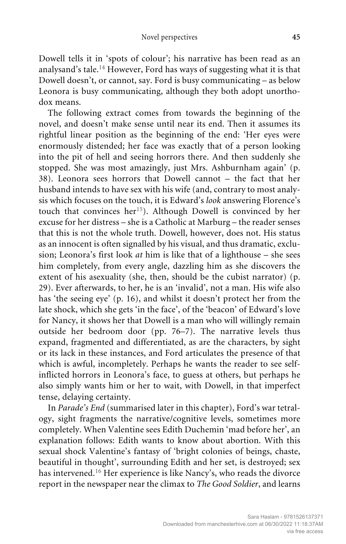Dowell tells it in 'spots of colour'; his narrative has been read as an analysand's tale.<sup>[14](#page--1-0)</sup> However, Ford has ways of suggesting what it is that Dowell doesn't, or cannot, say. Ford is busy communicating – as below Leonora is busy communicating, although they both adopt unorthodox means.

The following extract comes from towards the beginning of the novel, and doesn't make sense until near its end. Then it assumes its rightful linear position as the beginning of the end: 'Her eyes were enormously distended; her face was exactly that of a person looking into the pit of hell and seeing horrors there. And then suddenly she stopped. She was most amazingly, just Mrs. Ashburnham again' (p. 38). Leonora sees horrors that Dowell cannot – the fact that her husband intends to have sex with his wife (and, contrary to most analysis which focuses on the touch, it is Edward's *look* answering Florence's touch that convinces her<sup>[15](#page--1-0)</sup>). Although Dowell is convinced by her excuse for her distress – she is a Catholic at Marburg – the reader senses that this is not the whole truth. Dowell, however, does not. His status as an innocent is often signalled by his visual, and thus dramatic, exclusion; Leonora's first look *at* him is like that of a lighthouse – she sees him completely, from every angle, dazzling him as she discovers the extent of his asexuality (she, then, should be the cubist narrator) (p. 29). Ever afterwards, to her, he is an 'invalid', not a man. His wife also has 'the seeing eye' (p. 16), and whilst it doesn't protect her from the late shock, which she gets 'in the face', of the 'beacon' of Edward's love for Nancy, it shows her that Dowell is a man who will willingly remain outside her bedroom door (pp. 76–7). The narrative levels thus expand, fragmented and differentiated, as are the characters, by sight or its lack in these instances, and Ford articulates the presence of that which is awful, incompletely. Perhaps he wants the reader to see selfinflicted horrors in Leonora's face, to guess at others, but perhaps he also simply wants him or her to wait, with Dowell, in that imperfect tense, delaying certainty.

In *Parade's End* (summarised later in this chapter), Ford's war tetralogy, sight fragments the narrative/cognitive levels, sometimes more completely. When Valentine sees Edith Duchemin 'mad before her', an explanation follows: Edith wants to know about abortion. With this sexual shock Valentine's fantasy of 'bright colonies of beings, chaste, beautiful in thought', surrounding Edith and her set, is destroyed; sex has intervened.<sup>[16](#page--1-0)</sup> Her experience is like Nancy's, who reads the divorce report in the newspaper near the climax to *The Good Soldier*, and learns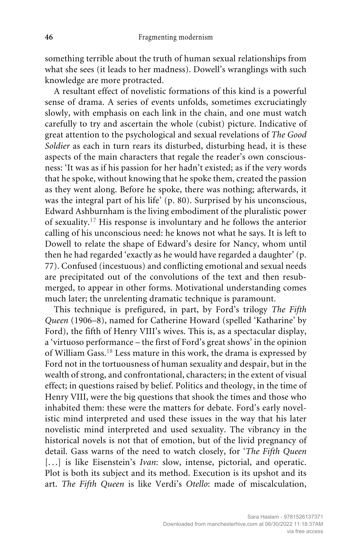something terrible about the truth of human sexual relationships from what she sees (it leads to her madness). Dowell's wranglings with such knowledge are more protracted.

A resultant effect of novelistic formations of this kind is a powerful sense of drama. A series of events unfolds, sometimes excruciatingly slowly, with emphasis on each link in the chain, and one must watch carefully to try and ascertain the whole (cubist) picture. Indicative of great attention to the psychological and sexual revelations of *The Good Soldier* as each in turn rears its disturbed, disturbing head, it is these aspects of the main characters that regale the reader's own consciousness: 'It was as if his passion for her hadn't existed; as if the very words that he spoke, without knowing that he spoke them, created the passion as they went along. Before he spoke, there was nothing; afterwards, it was the integral part of his life' (p. 80). Surprised by his unconscious, Edward Ashburnham is the living embodiment of the pluralistic power of sexuality.[17](#page--1-0) His response is involuntary and he follows the anterior calling of his unconscious need: he knows not what he says. It is left to Dowell to relate the shape of Edward's desire for Nancy, whom until then he had regarded 'exactly as he would have regarded a daughter' (p. 77). Confused (incestuous) and conflicting emotional and sexual needs are precipitated out of the convolutions of the text and then resubmerged, to appear in other forms. Motivational understanding comes much later; the unrelenting dramatic technique is paramount.

This technique is prefigured, in part, by Ford's trilogy *The Fifth Queen* (1906–8), named for Catherine Howard (spelled 'Katharine' by Ford), the fifth of Henry VIII's wives. This is, as a spectacular display, a 'virtuoso performance – the first of Ford's great shows' in the opinion of William Gass.[18](#page--1-0) Less mature in this work, the drama is expressed by Ford not in the tortuousness of human sexuality and despair, but in the wealth of strong, and confrontational, characters; in the extent of visual effect; in questions raised by belief. Politics and theology, in the time of Henry VIII, were the big questions that shook the times and those who inhabited them: these were the matters for debate. Ford's early novelistic mind interpreted and used these issues in the way that his later novelistic mind interpreted and used sexuality. The vibrancy in the historical novels is not that of emotion, but of the livid pregnancy of detail. Gass warns of the need to watch closely, for '*The Fifth Queen* [...] is like Eisenstein's *Ivan*: slow, intense, pictorial, and operatic. Plot is both its subject and its method. Execution is its upshot and its art. *The Fifth Queen* is like Verdi's *Otello*: made of miscalculation,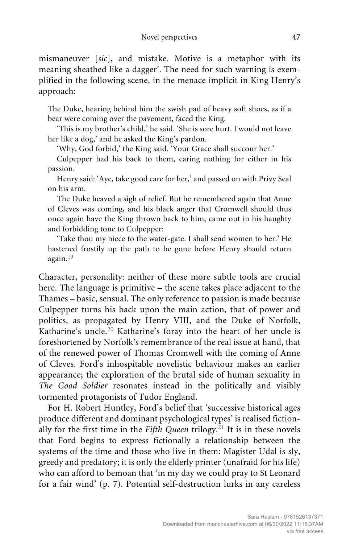mismaneuver [*sic*], and mistake. Motive is a metaphor with its meaning sheathed like a dagger'. The need for such warning is exemplified in the following scene, in the menace implicit in King Henry's approach:

The Duke, hearing behind him the swish pad of heavy soft shoes, as if a bear were coming over the pavement, faced the King.

'This is my brother's child,' he said. 'She is sore hurt. I would not leave her like a dog,' and he asked the King's pardon.

'Why, God forbid,' the King said. 'Your Grace shall succour her.'

Culpepper had his back to them, caring nothing for either in his passion.

Henry said: 'Aye, take good care for her,' and passed on with Privy Seal on his arm.

The Duke heaved a sigh of relief. But he remembered again that Anne of Cleves was coming, and his black anger that Cromwell should thus once again have the King thrown back to him, came out in his haughty and forbidding tone to Culpepper:

'Take thou my niece to the water-gate. I shall send women to her.' He hastened frostily up the path to be gone before Henry should return again.[19](#page--1-0)

Character, personality: neither of these more subtle tools are crucial here. The language is primitive – the scene takes place adjacent to the Thames – basic, sensual. The only reference to passion is made because Culpepper turns his back upon the main action, that of power and politics, as propagated by Henry VIII, and the Duke of Norfolk, Katharine's uncle.[20](#page--1-0) Katharine's foray into the heart of her uncle is foreshortened by Norfolk's remembrance of the real issue at hand, that of the renewed power of Thomas Cromwell with the coming of Anne of Cleves. Ford's inhospitable novelistic behaviour makes an earlier appearance; the exploration of the brutal side of human sexuality in *The Good Soldier* resonates instead in the politically and visibly tormented protagonists of Tudor England.

For H. Robert Huntley, Ford's belief that 'successive historical ages produce different and dominant psychological types' is realised fictionally for the first time in the *Fifth Queen* trilogy.<sup>[21](#page--1-0)</sup> It is in these novels that Ford begins to express fictionally a relationship between the systems of the time and those who live in them: Magister Udal is sly, greedy and predatory; it is only the elderly printer (unafraid for his life) who can afford to bemoan that 'in my day we could pray to St Leonard for a fair wind' (p. 7). Potential self-destruction lurks in any careless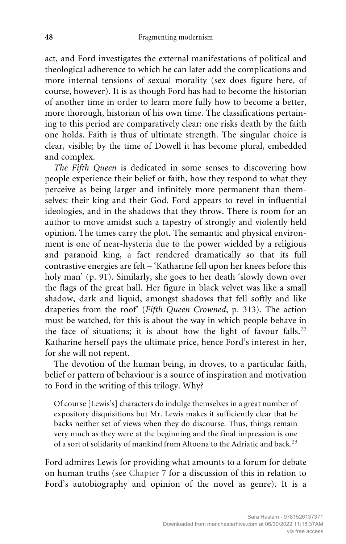act, and Ford investigates the external manifestations of political and theological adherence to which he can later add the complications and more internal tensions of sexual morality (sex does figure here, of course, however). It is as though Ford has had to become the historian of another time in order to learn more fully how to become a better, more thorough, historian of his own time. The classifications pertaining to this period are comparatively clear: one risks death by the faith one holds. Faith is thus of ultimate strength. The singular choice is clear, visible; by the time of Dowell it has become plural, embedded and complex.

*The Fifth Queen* is dedicated in some senses to discovering how people experience their belief or faith, how they respond to what they perceive as being larger and infinitely more permanent than themselves: their king and their God. Ford appears to revel in influential ideologies, and in the shadows that they throw. There is room for an author to move amidst such a tapestry of strongly and violently held opinion. The times carry the plot. The semantic and physical environment is one of near-hysteria due to the power wielded by a religious and paranoid king, a fact rendered dramatically so that its full contrastive energies are felt – 'Katharine fell upon her knees before this holy man' (p. 91). Similarly, she goes to her death 'slowly down over the flags of the great hall. Her figure in black velvet was like a small shadow, dark and liquid, amongst shadows that fell softly and like draperies from the roof' (*Fifth Queen Crowned*, p. 313). The action must be watched, for this is about the way in which people behave in the face of situations; it is about how the light of favour falls.<sup>[22](#page--1-0)</sup> Katharine herself pays the ultimate price, hence Ford's interest in her, for she will not repent.

The devotion of the human being, in droves, to a particular faith, belief or pattern of behaviour is a source of inspiration and motivation to Ford in the writing of this trilogy. Why?

Of course [Lewis's] characters do indulge themselves in a great number of expository disquisitions but Mr. Lewis makes it sufficiently clear that he backs neither set of views when they do discourse. Thus, things remain very much as they were at the beginning and the final impression is one of a sort of solidarity of mankind from Altoona to the Adriatic and back.<sup>[23](#page--1-0)</sup>

Ford admires Lewis for providing what amounts to a forum for debate on human truths (see [Chapter 7](#page--1-0) for a discussion of this in relation to Ford's autobiography and opinion of the novel as genre). It is a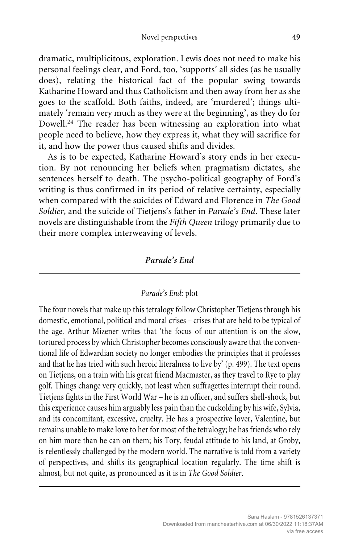dramatic, multiplicitous, exploration. Lewis does not need to make his personal feelings clear, and Ford, too, 'supports' all sides (as he usually does), relating the historical fact of the popular swing towards Katharine Howard and thus Catholicism and then away from her as she goes to the scaffold. Both faiths, indeed, are 'murdered'; things ultimately 'remain very much as they were at the beginning', as they do for Dowell.[24](#page--1-0) The reader has been witnessing an exploration into what people need to believe, how they express it, what they will sacrifice for it, and how the power thus caused shifts and divides.

As is to be expected, Katharine Howard's story ends in her execution. By not renouncing her beliefs when pragmatism dictates, she sentences herself to death. The psycho-political geography of Ford's writing is thus confirmed in its period of relative certainty, especially when compared with the suicides of Edward and Florence in *The Good Soldier*, and the suicide of Tietjens's father in *Parade's End*. These later novels are distinguishable from the *Fifth Queen* trilogy primarily due to their more complex interweaving of levels.

## *Parade's End*

#### *Parade's End*: plot

The four novels that make up this tetralogy follow Christopher Tietjens through his domestic, emotional, political and moral crises – crises that are held to be typical of the age. Arthur Mizener writes that 'the focus of our attention is on the slow, tortured process by which Christopher becomes consciously aware that the conventional life of Edwardian society no longer embodies the principles that it professes and that he has tried with such heroic literalness to live by' (p. 499). The text opens on Tietjens, on a train with his great friend Macmaster, as they travel to Rye to play golf. Things change very quickly, not least when suffragettes interrupt their round. Tietjens fights in the First World War – he is an officer, and suffers shell-shock, but this experience causes him arguably less pain than the cuckolding by his wife, Sylvia, and its concomitant, excessive, cruelty. He has a prospective lover, Valentine, but remains unable to make love to her for most of the tetralogy; he has friends who rely on him more than he can on them; his Tory, feudal attitude to his land, at Groby, is relentlessly challenged by the modern world. The narrative is told from a variety of perspectives, and shifts its geographical location regularly. The time shift is almost, but not quite, as pronounced as it is in *The Good Soldier*.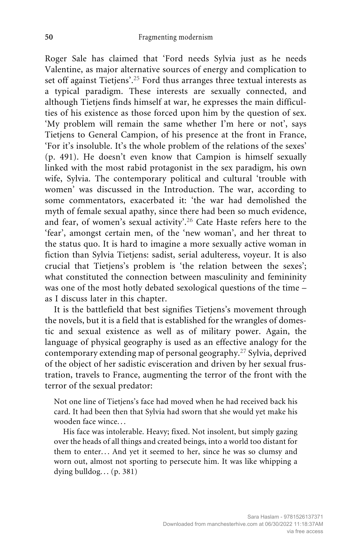Roger Sale has claimed that 'Ford needs Sylvia just as he needs Valentine, as major alternative sources of energy and complication to set off against Tietjens'.<sup>[25](#page--1-0)</sup> Ford thus arranges three textual interests as a typical paradigm. These interests are sexually connected, and although Tietjens finds himself at war, he expresses the main difficulties of his existence as those forced upon him by the question of sex. 'My problem will remain the same whether I'm here or not', says Tietjens to General Campion, of his presence at the front in France, 'For it's insoluble. It's the whole problem of the relations of the sexes' (p. 491). He doesn't even know that Campion is himself sexually linked with the most rabid protagonist in the sex paradigm, his own wife, Sylvia. The contemporary political and cultural 'trouble with women' was discussed in the Introduction. The war, according to some commentators, exacerbated it: 'the war had demolished the myth of female sexual apathy, since there had been so much evidence, and fear, of women's sexual activity'.[26](#page--1-0) Cate Haste refers here to the 'fear', amongst certain men, of the 'new woman', and her threat to the status quo. It is hard to imagine a more sexually active woman in fiction than Sylvia Tietjens: sadist, serial adulteress, voyeur. It is also crucial that Tietjens's problem is 'the relation between the sexes'; what constituted the connection between masculinity and femininity was one of the most hotly debated sexological questions of the time – as I discuss later in this chapter.

It is the battlefield that best signifies Tietjens's movement through the novels, but it is a field that is established for the wrangles of domestic and sexual existence as well as of military power. Again, the language of physical geography is used as an effective analogy for the contemporary extending map of personal geography.[27](#page--1-0) Sylvia, deprived of the object of her sadistic evisceration and driven by her sexual frustration, travels to France, augmenting the terror of the front with the terror of the sexual predator:

Not one line of Tietjens's face had moved when he had received back his card. It had been then that Sylvia had sworn that she would yet make his wooden face wince. . .

His face was intolerable. Heavy; fixed. Not insolent, but simply gazing over the heads of all things and created beings, into a world too distant for them to enter... And yet it seemed to her, since he was so clumsy and worn out, almost not sporting to persecute him. It was like whipping a dying bulldog... $(p. 381)$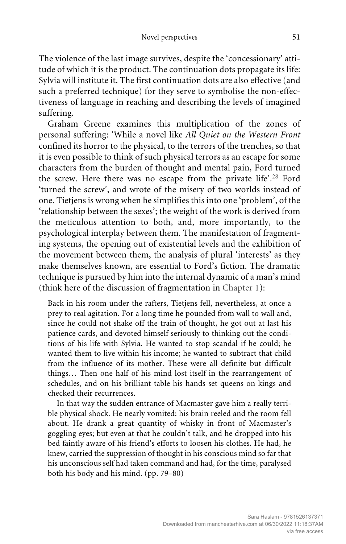The violence of the last image survives, despite the 'concessionary' attitude of which it is the product. The continuation dots propagate its life: Sylvia will institute it. The first continuation dots are also effective (and such a preferred technique) for they serve to symbolise the non-effectiveness of language in reaching and describing the levels of imagined suffering.

Graham Greene examines this multiplication of the zones of personal suffering: 'While a novel like *All Quiet on the Western Front* confined its horror to the physical, to the terrors of the trenches, so that it is even possible to think of such physical terrors as an escape for some characters from the burden of thought and mental pain, Ford turned the screw. Here there was no escape from the private life'.[28](#page--1-0) Ford 'turned the screw', and wrote of the misery of two worlds instead of one. Tietjens is wrong when he simplifies this into one 'problem', of the 'relationship between the sexes'; the weight of the work is derived from the meticulous attention to both, and, more importantly, to the psychological interplay between them. The manifestation of fragmenting systems, the opening out of existential levels and the exhibition of the movement between them, the analysis of plural 'interests' as they make themselves known, are essential to Ford's fiction. The dramatic technique is pursued by him into the internal dynamic of a man's mind (think here of the discussion of fragmentation in [Chapter 1](#page--1-0)):

Back in his room under the rafters, Tietjens fell, nevertheless, at once a prey to real agitation. For a long time he pounded from wall to wall and, since he could not shake off the train of thought, he got out at last his patience cards, and devoted himself seriously to thinking out the conditions of his life with Sylvia. He wanted to stop scandal if he could; he wanted them to live within his income; he wanted to subtract that child from the influence of its mother. These were all definite but difficult things. . . Then one half of his mind lost itself in the rearrangement of schedules, and on his brilliant table his hands set queens on kings and checked their recurrences.

In that way the sudden entrance of Macmaster gave him a really terrible physical shock. He nearly vomited: his brain reeled and the room fell about. He drank a great quantity of whisky in front of Macmaster's goggling eyes; but even at that he couldn't talk, and he dropped into his bed faintly aware of his friend's efforts to loosen his clothes. He had, he knew, carried the suppression of thought in his conscious mind so far that his unconscious self had taken command and had, for the time, paralysed both his body and his mind. (pp. 79–80)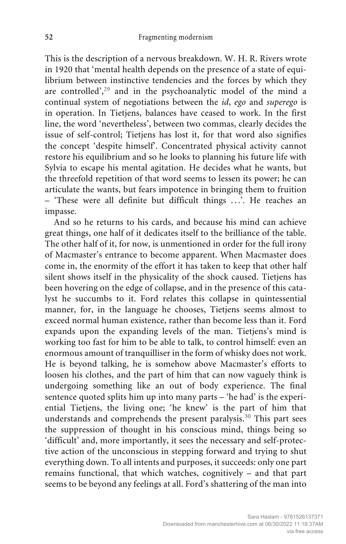This is the description of a nervous breakdown. W. H. R. Rivers wrote in 1920 that 'mental health depends on the presence of a state of equilibrium between instinctive tendencies and the forces by which they are controlled', $29$  and in the psychoanalytic model of the mind a continual system of negotiations between the *id*, *ego* and *superego* is in operation. In Tietjens, balances have ceased to work. In the first line, the word 'nevertheless', between two commas, clearly decides the issue of self-control; Tietjens has lost it, for that word also signifies the concept 'despite himself'. Concentrated physical activity cannot restore his equilibrium and so he looks to planning his future life with Sylvia to escape his mental agitation. He decides what he wants, but the threefold repetition of that word seems to lessen its power; he can articulate the wants, but fears impotence in bringing them to fruition – 'These were all definite but difficult things ...'. He reaches an impasse.

And so he returns to his cards, and because his mind can achieve great things, one half of it dedicates itself to the brilliance of the table. The other half of it, for now, is unmentioned in order for the full irony

of Macmaster's entrance to become apparent. When Macmaster does come in, the enormity of the effort it has taken to keep that other half silent shows itself in the physicality of the shock caused. Tietjens has been hovering on the edge of collapse, and in the presence of this catalyst he succumbs to it. Ford relates this collapse in quintessential manner, for, in the language he chooses, Tietjens seems almost to exceed normal human existence, rather than become less than it. Ford expands upon the expanding levels of the man. Tietjens's mind is working too fast for him to be able to talk, to control himself: even an enormous amount of tranquilliser in the form of whisky does not work. He is beyond talking, he is somehow above Macmaster's efforts to loosen his clothes, and the part of him that can now vaguely think is undergoing something like an out of body experience. The final sentence quoted splits him up into many parts – 'he had' is the experiential Tietjens, the living one; 'he knew' is the part of him that understands and comprehends the present paralysis.<sup>[30](#page--1-0)</sup> This part sees the suppression of thought in his conscious mind, things being so 'difficult' and, more importantly, it sees the necessary and self-protective action of the unconscious in stepping forward and trying to shut everything down. To all intents and purposes, it succeeds: only one part remains functional, that which watches, cognitively – and that part seems to be beyond any feelings at all. Ford's shattering of the man into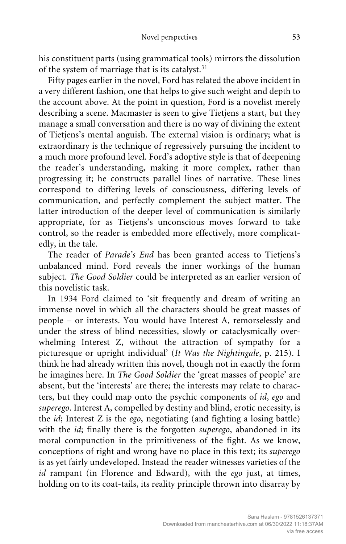his constituent parts (using grammatical tools) mirrors the dissolution of the system of marriage that is its catalyst. $31$ 

Fifty pages earlier in the novel, Ford has related the above incident in a very different fashion, one that helps to give such weight and depth to the account above. At the point in question, Ford is a novelist merely describing a scene. Macmaster is seen to give Tietjens a start, but they manage a small conversation and there is no way of divining the extent of Tietjens's mental anguish. The external vision is ordinary; what is extraordinary is the technique of regressively pursuing the incident to a much more profound level. Ford's adoptive style is that of deepening the reader's understanding, making it more complex, rather than progressing it; he constructs parallel lines of narrative. These lines correspond to differing levels of consciousness, differing levels of communication, and perfectly complement the subject matter. The latter introduction of the deeper level of communication is similarly appropriate, for as Tietjens's unconscious moves forward to take control, so the reader is embedded more effectively, more complicatedly, in the tale.

The reader of *Parade's End* has been granted access to Tietjens's unbalanced mind. Ford reveals the inner workings of the human subject. *The Good Soldier* could be interpreted as an earlier version of this novelistic task.

In 1934 Ford claimed to 'sit frequently and dream of writing an immense novel in which all the characters should be great masses of people – or interests. You would have Interest A, remorselessly and under the stress of blind necessities, slowly or cataclysmically overwhelming Interest Z, without the attraction of sympathy for a picturesque or upright individual' (*It Was the Nightingale*, p. 215). I think he had already written this novel, though not in exactly the form he imagines here. In *The Good Soldier* the 'great masses of people' are absent, but the 'interests' are there; the interests may relate to characters, but they could map onto the psychic components of *id*, *ego* and *superego*. Interest A, compelled by destiny and blind, erotic necessity, is the *id*; Interest Z is the *ego*, negotiating (and fighting a losing battle) with the *id*; finally there is the forgotten *superego*, abandoned in its moral compunction in the primitiveness of the fight. As we know, conceptions of right and wrong have no place in this text; its *superego* is as yet fairly undeveloped. Instead the reader witnesses varieties of the *id* rampant (in Florence and Edward), with the *ego* just, at times, holding on to its coat-tails, its reality principle thrown into disarray by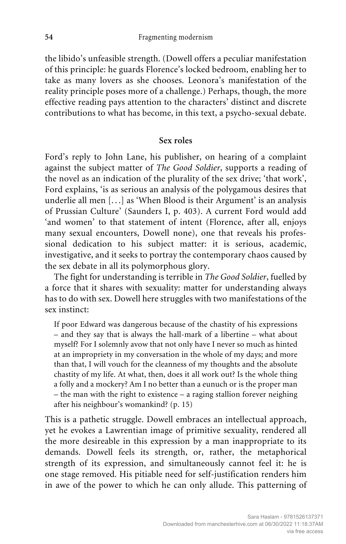the libido's unfeasible strength. (Dowell offers a peculiar manifestation of this principle: he guards Florence's locked bedroom, enabling her to take as many lovers as she chooses. Leonora's manifestation of the reality principle poses more of a challenge.) Perhaps, though, the more effective reading pays attention to the characters' distinct and discrete contributions to what has become, in this text, a psycho-sexual debate.

## **Sex roles**

Ford's reply to John Lane, his publisher, on hearing of a complaint against the subject matter of *The Good Soldier*, supports a reading of the novel as an indication of the plurality of the sex drive; 'that work', Ford explains, 'is as serious an analysis of the polygamous desires that underlie all men [...] as 'When Blood is their Argument' is an analysis of Prussian Culture' (Saunders I, p. 403). A current Ford would add 'and women' to that statement of intent (Florence, after all, enjoys many sexual encounters, Dowell none), one that reveals his professional dedication to his subject matter: it is serious, academic, investigative, and it seeks to portray the contemporary chaos caused by the sex debate in all its polymorphous glory.

The fight for understanding is terrible in *The Good Soldier*, fuelled by a force that it shares with sexuality: matter for understanding always has to do with sex. Dowell here struggles with two manifestations of the sex instinct:

If poor Edward was dangerous because of the chastity of his expressions – and they say that is always the hall-mark of a libertine – what about myself? For I solemnly avow that not only have I never so much as hinted at an impropriety in my conversation in the whole of my days; and more than that, I will vouch for the cleanness of my thoughts and the absolute chastity of my life. At what, then, does it all work out? Is the whole thing a folly and a mockery? Am I no better than a eunuch or is the proper man – the man with the right to existence – a raging stallion forever neighing after his neighbour's womankind? (p. 15)

This is a pathetic struggle. Dowell embraces an intellectual approach, yet he evokes a Lawrentian image of primitive sexuality, rendered all the more desireable in this expression by a man inappropriate to its demands. Dowell feels its strength, or, rather, the metaphorical strength of its expression, and simultaneously cannot feel it: he is one stage removed. His pitiable need for self-justification renders him in awe of the power to which he can only allude. This patterning of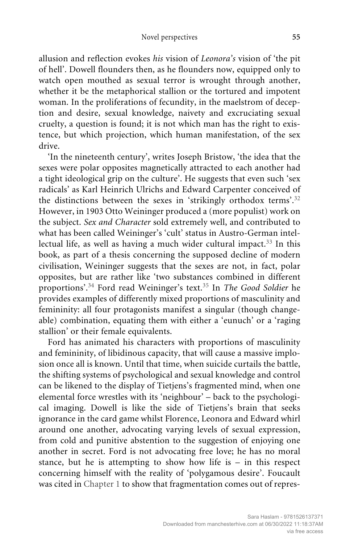allusion and reflection evokes *his* vision of *Leonora's* vision of 'the pit of hell'. Dowell flounders then, as he flounders now, equipped only to watch open mouthed as sexual terror is wrought through another, whether it be the metaphorical stallion or the tortured and impotent woman. In the proliferations of fecundity, in the maelstrom of deception and desire, sexual knowledge, naivety and excruciating sexual cruelty, a question is found; it is not which man has the right to existence, but which projection, which human manifestation, of the sex drive.

'In the nineteenth century', writes Joseph Bristow, 'the idea that the sexes were polar opposites magnetically attracted to each another had a tight ideological grip on the culture'. He suggests that even such 'sex radicals' as Karl Heinrich Ulrichs and Edward Carpenter conceived of the distinctions between the sexes in 'strikingly orthodox terms'.[32](#page--1-0) However, in 1903 Otto Weininger produced a (more populist) work on the subject. *Sex and Character* sold extremely well, and contributed to what has been called Weininger's 'cult' status in Austro-German intel-lectual life, as well as having a much wider cultural impact.<sup>[33](#page--1-0)</sup> In this book, as part of a thesis concerning the supposed decline of modern civilisation, Weininger suggests that the sexes are not, in fact, polar opposites, but are rather like 'two substances combined in different proportions'.[34](#page--1-0) Ford read Weininger's text.[35](#page--1-0) In *The Good Soldier* he provides examples of differently mixed proportions of masculinity and femininity: all four protagonists manifest a singular (though changeable) combination, equating them with either a 'eunuch' or a 'raging stallion' or their female equivalents.

Ford has animated his characters with proportions of masculinity and femininity, of libidinous capacity, that will cause a massive implosion once all is known. Until that time, when suicide curtails the battle, the shifting systems of psychological and sexual knowledge and control can be likened to the display of Tietjens's fragmented mind, when one elemental force wrestles with its 'neighbour' – back to the psychological imaging. Dowell is like the side of Tietjens's brain that seeks ignorance in the card game whilst Florence, Leonora and Edward whirl around one another, advocating varying levels of sexual expression, from cold and punitive abstention to the suggestion of enjoying one another in secret. Ford is not advocating free love; he has no moral stance, but he is attempting to show how life is  $-$  in this respect concerning himself with the reality of 'polygamous desire'. Foucault was cited in [Chapter 1](#page--1-0) to show that fragmentation comes out of repres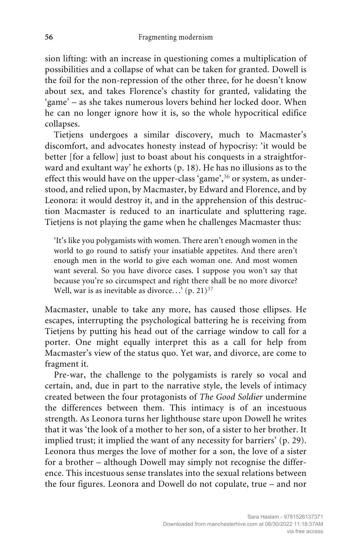sion lifting: with an increase in questioning comes a multiplication of possibilities and a collapse of what can be taken for granted. Dowell is the foil for the non-repression of the other three, for he doesn't know about sex, and takes Florence's chastity for granted, validating the 'game' – as she takes numerous lovers behind her locked door. When he can no longer ignore how it is, so the whole hypocritical edifice collapses.

Tietjens undergoes a similar discovery, much to Macmaster's discomfort, and advocates honesty instead of hypocrisy: 'it would be better [for a fellow] just to boast about his conquests in a straightforward and exultant way' he exhorts (p. 18). He has no illusions as to the effect this would have on the upper-class 'game',<sup>[36](#page--1-0)</sup> or system, as understood, and relied upon, by Macmaster, by Edward and Florence, and by Leonora: it would destroy it, and in the apprehension of this destruction Macmaster is reduced to an inarticulate and spluttering rage. Tietjens is not playing the game when he challenges Macmaster thus:

'It's like you polygamists with women. There aren't enough women in the world to go round to satisfy your insatiable appetites. And there aren't enough men in the world to give each woman one. And most women want several. So you have divorce cases. I suppose you won't say that because you're so circumspect and right there shall be no more divorce? Well, war is as inevitable as divorce...'  $(p. 21)^{37}$  $(p. 21)^{37}$  $(p. 21)^{37}$ 

Macmaster, unable to take any more, has caused those ellipses. He escapes, interrupting the psychological battering he is receiving from Tietjens by putting his head out of the carriage window to call for a porter. One might equally interpret this as a call for help from Macmaster's view of the status quo. Yet war, and divorce, are come to fragment it.

Pre-war, the challenge to the polygamists is rarely so vocal and certain, and, due in part to the narrative style, the levels of intimacy created between the four protagonists of *The Good Soldier* undermine the differences between them. This intimacy is of an incestuous strength. As Leonora turns her lighthouse stare upon Dowell he writes that it was 'the look of a mother to her son, of a sister to her brother. It implied trust; it implied the want of any necessity for barriers' (p. 29). Leonora thus merges the love of mother for a son, the love of a sister for a brother – although Dowell may simply not recognise the difference. This incestuous sense translates into the sexual relations between the four figures. Leonora and Dowell do not copulate, true – and nor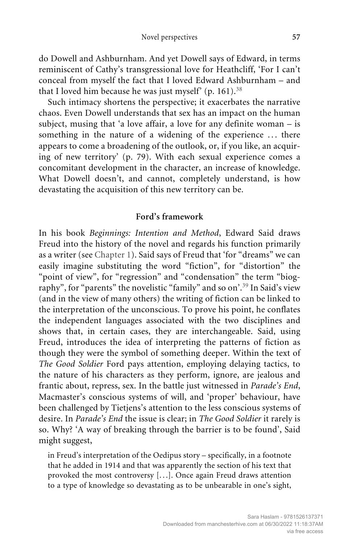do Dowell and Ashburnham. And yet Dowell says of Edward, in terms reminiscent of Cathy's transgressional love for Heathcliff, 'For I can't conceal from myself the fact that I loved Edward Ashburnham – and that I loved him because he was just myself' (p. 161).<sup>[38](#page--1-0)</sup>

Such intimacy shortens the perspective; it exacerbates the narrative chaos. Even Dowell understands that sex has an impact on the human subject, musing that 'a love affair, a love for any definite woman – is something in the nature of a widening of the experience ... there appears to come a broadening of the outlook, or, if you like, an acquiring of new territory' (p. 79). With each sexual experience comes a concomitant development in the character, an increase of knowledge. What Dowell doesn't, and cannot, completely understand, is how devastating the acquisition of this new territory can be.

## **Ford's framework**

In his book *Beginnings: Intention and Method*, Edward Said draws Freud into the history of the novel and regards his function primarily as a writer (see [Chapter 1](#page--1-0)). Said says of Freud that 'for "dreams" we can easily imagine substituting the word "fiction", for "distortion" the "point of view", for "regression" and "condensation" the term "biography", for "parents" the novelistic "family" and so on'.[39](#page--1-0) In Said's view (and in the view of many others) the writing of fiction can be linked to the interpretation of the unconscious. To prove his point, he conflates the independent languages associated with the two disciplines and shows that, in certain cases, they are interchangeable. Said, using Freud, introduces the idea of interpreting the patterns of fiction as though they were the symbol of something deeper. Within the text of *The Good Soldier* Ford pays attention, employing delaying tactics, to the nature of his characters as they perform, ignore, are jealous and frantic about, repress, sex. In the battle just witnessed in *Parade's End*, Macmaster's conscious systems of will, and 'proper' behaviour, have been challenged by Tietjens's attention to the less conscious systems of desire. In *Parade's End* the issue is clear; in *The Good Soldier* it rarely is so. Why? 'A way of breaking through the barrier is to be found', Said might suggest,

in Freud's interpretation of the Oedipus story – specifically, in a footnote that he added in 1914 and that was apparently the section of his text that provoked the most controversy [. . .]. Once again Freud draws attention to a type of knowledge so devastating as to be unbearable in one's sight,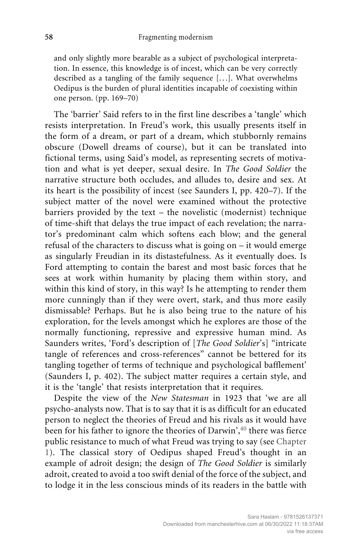and only slightly more bearable as a subject of psychological interpretation. In essence, this knowledge is of incest, which can be very correctly described as a tangling of the family sequence [. . .]. What overwhelms Oedipus is the burden of plural identities incapable of coexisting within one person. (pp. 169–70)

The 'barrier' Said refers to in the first line describes a 'tangle' which resists interpretation. In Freud's work, this usually presents itself in the form of a dream, or part of a dream, which stubbornly remains obscure (Dowell dreams of course), but it can be translated into fictional terms, using Said's model, as representing secrets of motivation and what is yet deeper, sexual desire. In *The Good Soldier* the narrative structure both occludes, and alludes to, desire and sex. At its heart is the possibility of incest (see Saunders I, pp. 420–7). If the subject matter of the novel were examined without the protective barriers provided by the text – the novelistic (modernist) technique of time-shift that delays the true impact of each revelation; the narrator's predominant calm which softens each blow; and the general refusal of the characters to discuss what is going on – it would emerge as singularly Freudian in its distastefulness. As it eventually does. Is Ford attempting to contain the barest and most basic forces that he sees at work within humanity by placing them within story, and within this kind of story, in this way? Is he attempting to render them more cunningly than if they were overt, stark, and thus more easily dismissable? Perhaps. But he is also being true to the nature of his exploration, for the levels amongst which he explores are those of the normally functioning, repressive and expressive human mind. As Saunders writes, 'Ford's description of [*The Good Soldier*'s] "intricate tangle of references and cross-references" cannot be bettered for its tangling together of terms of technique and psychological bafflement' (Saunders I, p. 402). The subject matter requires a certain style, and it is the 'tangle' that resists interpretation that it requires.

Despite the view of the *New Statesman* in 1923 that 'we are all psycho-analysts now. That is to say that it is as difficult for an educated person to neglect the theories of Freud and his rivals as it would have been for his father to ignore the theories of Darwin',<sup>[40](#page--1-0)</sup> there was fierce public resistance to much of what Freud was trying to say (see [Chapter](#page--1-0) [1](#page--1-0)). The classical story of Oedipus shaped Freud's thought in an example of adroit design; the design of *The Good Soldier* is similarly adroit, created to avoid a too swift denial of the force of the subject, and to lodge it in the less conscious minds of its readers in the battle with

> Sara Haslam - 9781526137371 Downloaded from manchesterhive.com at 06/30/2022 11:18:37AM via free access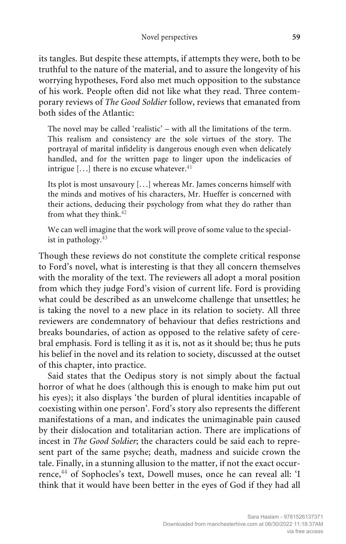its tangles. But despite these attempts, if attempts they were, both to be truthful to the nature of the material, and to assure the longevity of his worrying hypotheses, Ford also met much opposition to the substance of his work. People often did not like what they read. Three contemporary reviews of *The Good Soldier* follow, reviews that emanated from both sides of the Atlantic:

The novel may be called 'realistic' – with all the limitations of the term. This realism and consistency are the sole virtues of the story. The portrayal of marital infidelity is dangerous enough even when delicately handled, and for the written page to linger upon the indelicacies of intrigue  $[\dots]$  there is no excuse whatever.<sup>[41](#page--1-0)</sup>

Its plot is most unsavoury [. . .] whereas Mr. James concerns himself with the minds and motives of his characters, Mr. Hueffer is concerned with their actions, deducing their psychology from what they do rather than from what they think. $42$ 

We can well imagine that the work will prove of some value to the specialist in pathology. $43$ 

Though these reviews do not constitute the complete critical response to Ford's novel, what is interesting is that they all concern themselves with the morality of the text. The reviewers all adopt a moral position from which they judge Ford's vision of current life. Ford is providing what could be described as an unwelcome challenge that unsettles; he is taking the novel to a new place in its relation to society. All three reviewers are condemnatory of behaviour that defies restrictions and breaks boundaries, of action as opposed to the relative safety of cerebral emphasis. Ford is telling it as it is, not as it should be; thus he puts his belief in the novel and its relation to society, discussed at the outset of this chapter, into practice.

Said states that the Oedipus story is not simply about the factual horror of what he does (although this is enough to make him put out his eyes); it also displays 'the burden of plural identities incapable of coexisting within one person'. Ford's story also represents the different manifestations of a man, and indicates the unimaginable pain caused by their dislocation and totalitarian action. There are implications of incest in *The Good Soldier*; the characters could be said each to represent part of the same psyche; death, madness and suicide crown the tale. Finally, in a stunning allusion to the matter, if not the exact occurrence,[44](#page--1-0) of Sophocles's text, Dowell muses, once he can reveal all: 'I think that it would have been better in the eyes of God if they had all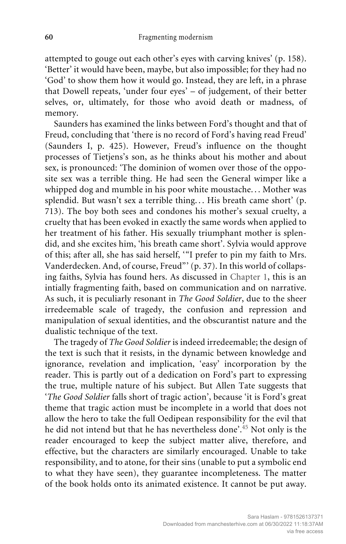attempted to gouge out each other's eyes with carving knives' (p. 158). 'Better' it would have been, maybe, but also impossible; for they had no 'God' to show them how it would go. Instead, they are left, in a phrase that Dowell repeats, 'under four eyes' – of judgement, of their better selves, or, ultimately, for those who avoid death or madness, of memory.

Saunders has examined the links between Ford's thought and that of Freud, concluding that 'there is no record of Ford's having read Freud' (Saunders I, p. 425). However, Freud's influence on the thought processes of Tietjens's son, as he thinks about his mother and about sex, is pronounced: 'The dominion of women over those of the opposite sex was a terrible thing. He had seen the General wimper like a whipped dog and mumble in his poor white moustache. . . Mother was splendid. But wasn't sex a terrible thing... His breath came short' (p. 713). The boy both sees and condones his mother's sexual cruelty, a cruelty that has been evoked in exactly the same words when applied to her treatment of his father. His sexually triumphant mother is splendid, and she excites him, 'his breath came short'. Sylvia would approve of this; after all, she has said herself, '"I prefer to pin my faith to Mrs. Vanderdecken. And, of course, Freud"' (p. 37). In this world of collapsing faiths, Sylvia has found hers. As discussed in [Chapter 1](#page--1-0), this is an intially fragmenting faith, based on communication and on narrative. As such, it is peculiarly resonant in *The Good Soldier*, due to the sheer irredeemable scale of tragedy, the confusion and repression and manipulation of sexual identities, and the obscurantist nature and the dualistic technique of the text.

The tragedy of *The Good Soldier* is indeed irredeemable; the design of the text is such that it resists, in the dynamic between knowledge and ignorance, revelation and implication, 'easy' incorporation by the reader. This is partly out of a dedication on Ford's part to expressing the true, multiple nature of his subject. But Allen Tate suggests that '*The Good Soldier* falls short of tragic action', because 'it is Ford's great theme that tragic action must be incomplete in a world that does not allow the hero to take the full Oedipean responsibility for the evil that he did not intend but that he has nevertheless done'.[45](#page--1-0) Not only is the reader encouraged to keep the subject matter alive, therefore, and effective, but the characters are similarly encouraged. Unable to take responsibility, and to atone, for their sins (unable to put a symbolic end to what they have seen), they guarantee incompleteness. The matter of the book holds onto its animated existence. It cannot be put away.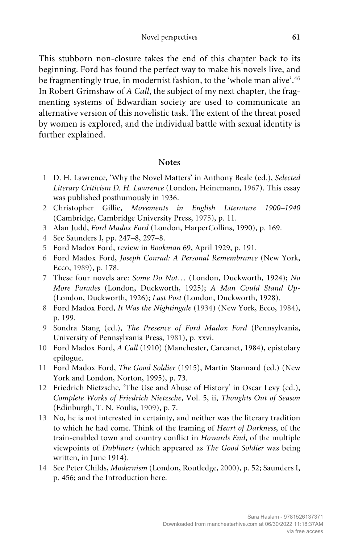This stubborn non-closure takes the end of this chapter back to its beginning. Ford has found the perfect way to make his novels live, and be fragmentingly true, in modernist fashion, to the 'whole man alive'.<sup>[46](#page--1-0)</sup> In Robert Grimshaw of *A Call*, the subject of my next chapter, the fragmenting systems of Edwardian society are used to communicate an alternative version of this novelistic task. The extent of the threat posed by women is explored, and the individual battle with sexual identity is further explained.

## **Notes**

- [1](#page--1-0) D. H. Lawrence, 'Why the Novel Matters' in Anthony Beale (ed.), *Selected Literary Criticism D. H. Lawrence* (London, Heinemann, [1967\)](#page--1-0). This essay was published posthumously in 1936.
- [2](#page--1-0) Christopher Gillie, *Movements in English Literature 1900–1940* (Cambridge, Cambridge University Press, [1975\)](#page--1-0), p. 11.
- [3](#page--1-0) Alan Judd, *Ford Madox Ford* (London, HarperCollins, 1990), p. 169.
- [4](#page--1-0) See Saunders I, pp. 247–8, 297–8.
- [5](#page--1-0) Ford Madox Ford, review in *Bookman* 69, April 1929, p. 191.
- [6](#page--1-0) Ford Madox Ford, *Joseph Conrad: A Personal Remembrance* (New York, Ecco, [1989](#page--1-0)), p. 178.
- [7](#page--1-0) These four novels are: *Some Do Not. . .* (London, Duckworth, 1924); *No More Parades* (London, Duckworth, 1925); *A Man Could Stand Up-* (London, Duckworth, 1926); *Last Post* (London, Duckworth, 1928).
- [8](#page--1-0) Ford Madox Ford, *It Was the Nightingale* ([1934](#page--1-0)) (New York, Ecco, [1984](#page--1-0)), p. 199.
- [9](#page--1-0) Sondra Stang (ed.), *The Presence of Ford Madox Ford* (Pennsylvania, University of Pennsylvania Press, [1981\)](#page--1-0), p. xxvi.
- [10](#page--1-0) Ford Madox Ford, *A Call* (1910) (Manchester, Carcanet, 1984), epistolary epilogue.
- [11](#page--1-0) Ford Madox Ford, *The Good Soldier* (1915), Martin Stannard (ed.) (New York and London, Norton, 1995), p. 73.
- [12](#page--1-0) Friedrich Nietzsche, 'The Use and Abuse of History' in Oscar Levy (ed.), *Complete Works of Friedrich Nietzsche*, Vol. 5, ii, *Thoughts Out of Season* (Edinburgh, T. N. Foulis, [1909](#page--1-0)), p. 7.
- [13](#page--1-0) No, he is not interested in certainty, and neither was the literary tradition to which he had come. Think of the framing of *Heart of Darkness*, of the train-enabled town and country conflict in *Howards End*, of the multiple viewpoints of *Dubliners* (which appeared as *The Good Soldier* was being written, in June 1914).
- [14](#page--1-0) See Peter Childs, *Modernism* (London, Routledge, [2000](#page--1-0)), p. 52; Saunders I, p. 456; and the Introduction here.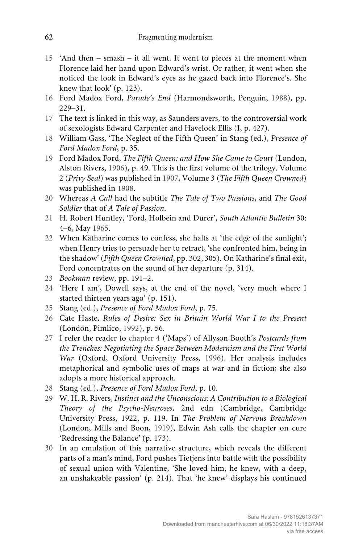- [15](#page--1-0) 'And then smash it all went. It went to pieces at the moment when Florence laid her hand upon Edward's wrist. Or rather, it went when she noticed the look in Edward's eyes as he gazed back into Florence's. She knew that look' (p. 123).
- [16](#page--1-0) Ford Madox Ford, *Parade's End* (Harmondsworth, Penguin, [1988](#page--1-0)), pp. 229–31.
- [17](#page--1-0) The text is linked in this way, as Saunders avers, to the controversial work of sexologists Edward Carpenter and Havelock Ellis (I, p. 427).
- [18](#page--1-0) William Gass, 'The Neglect of the Fifth Queen' in Stang (ed.), *Presence of Ford Madox Ford*, p. 35.
- [19](#page--1-0) Ford Madox Ford, *The Fifth Queen: and How She Came to Court* (London, Alston Rivers, [1906](#page--1-0)), p. 49. This is the first volume of the trilogy. Volume 2 (*Privy Seal*) was published in [1907](#page--1-0), Volume 3 (*The Fifth Queen Crowned*) was published in [1908](#page--1-0).
- [20](#page--1-0) Whereas *A Call* had the subtitle *The Tale of Two Passions*, and *The Good Soldier* that of *A Tale of Passion*.
- [21](#page--1-0) H. Robert Huntley, 'Ford, Holbein and Dürer', *South Atlantic Bulletin* 30: 4–6, May [1965](#page--1-0).
- [22](#page--1-0) When Katharine comes to confess, she halts at 'the edge of the sunlight'; when Henry tries to persuade her to retract, 'she confronted him, being in the shadow' (*Fifth Queen Crowned*, pp. 302, 305). On Katharine's final exit, Ford concentrates on the sound of her departure (p. 314).
- [23](#page--1-0) *Bookman* review, pp. 191–2.
- [24](#page--1-0) 'Here I am', Dowell says, at the end of the novel, 'very much where I started thirteen years ago' (p. 151).
- [25](#page--1-0) Stang (ed.), *Presence of Ford Madox Ford*, p. 75.
- [26](#page--1-0) Cate Haste, *Rules of Desire: Sex in Britain World War I to the Present* (London, Pimlico, [1992](#page--1-0)), p. 56.
- [27](#page--1-0) I refer the reader to [chapter 4](#page--1-0) ('Maps') of Allyson Booth's *Postcards from the Trenches: Negotiating the Space Between Modernism and the First World War* (Oxford, Oxford University Press, [1996](#page--1-0)). Her analysis includes metaphorical and symbolic uses of maps at war and in fiction; she also adopts a more historical approach.
- [28](#page--1-0) Stang (ed.), *Presence of Ford Madox Ford*, p. 10.
- [29](#page--1-0) W. H. R. Rivers, *Instinct and the Unconscious: A Contribution to a Biological Theory of the Psycho-Neuroses*, 2nd edn (Cambridge, Cambridge University Press, 1922, p. 119. In *The Problem of Nervous Breakdown* (London, Mills and Boon, [1919](#page--1-0)), Edwin Ash calls the chapter on cure 'Redressing the Balance' (p. 173).
- [30](#page--1-0) In an emulation of this narrative structure, which reveals the different parts of a man's mind, Ford pushes Tietjens into battle with the possibility of sexual union with Valentine, 'She loved him, he knew, with a deep, an unshakeable passion' (p. 214). That 'he knew' displays his continued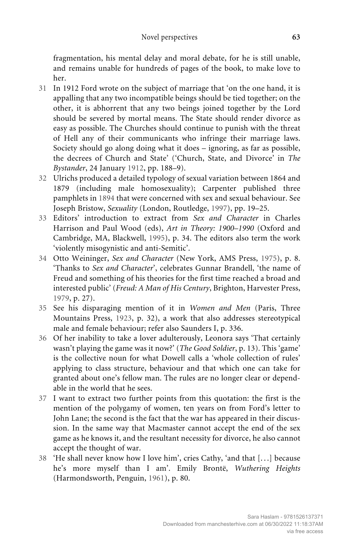fragmentation, his mental delay and moral debate, for he is still unable, and remains unable for hundreds of pages of the book, to make love to her.

- [31](#page--1-0) In 1912 Ford wrote on the subject of marriage that 'on the one hand, it is appalling that any two incompatible beings should be tied together; on the other, it is abhorrent that any two beings joined together by the Lord should be severed by mortal means. The State should render divorce as easy as possible. The Churches should continue to punish with the threat of Hell any of their communicants who infringe their marriage laws. Society should go along doing what it does – ignoring, as far as possible, the decrees of Church and State' ('Church, State, and Divorce' in *The Bystander*, 24 January [1912](#page--1-0), pp. 188–9).
- [32](#page--1-0) Ulrichs produced a detailed typology of sexual variation between 1864 and 1879 (including male homosexuality); Carpenter published three pamphlets in [1894](#page--1-0) that were concerned with sex and sexual behaviour. See Joseph Bristow, *Sexuality* (London, Routledge, [1997](#page--1-0)), pp. 19–25.
- [33](#page--1-0) Editors' introduction to extract from *Sex and Character* in Charles Harrison and Paul Wood (eds), *Art in Theory: 1900–1990* (Oxford and Cambridge, MA, Blackwell, [1995](#page--1-0)), p. 34. The editors also term the work 'violently misogynistic and anti-Semitic'.
- [34](#page--1-0) Otto Weininger, *Sex and Character* (New York, AMS Press, [1975](#page--1-0)), p. 8. 'Thanks to *Sex and Character*', celebrates Gunnar Brandell, 'the name of Freud and something of his theories for the first time reached a broad and interested public' (*Freud: A Man of His Century*, Brighton, Harvester Press, [1979](#page--1-0), p. 27).
- [35](#page--1-0) See his disparaging mention of it in *Women and Men* (Paris, Three Mountains Press, [1923](#page--1-0), p. 32), a work that also addresses stereotypical male and female behaviour; refer also Saunders I, p. 336.
- [36](#page--1-0) Of her inability to take a lover adulterously, Leonora says 'That certainly wasn't playing the game was it now?' (*The Good Soldier*, p. 13). This 'game' is the collective noun for what Dowell calls a 'whole collection of rules' applying to class structure, behaviour and that which one can take for granted about one's fellow man. The rules are no longer clear or dependable in the world that he sees.
- [37](#page--1-0) I want to extract two further points from this quotation: the first is the mention of the polygamy of women, ten years on from Ford's letter to John Lane; the second is the fact that the war has appeared in their discussion. In the same way that Macmaster cannot accept the end of the sex game as he knows it, and the resultant necessity for divorce, he also cannot accept the thought of war.
- [38](#page--1-0) 'He shall never know how I love him', cries Cathy, 'and that [. . .] because he's more myself than I am'. Emily Brontë, *Wuthering Heights* (Harmondsworth, Penguin, [1961](#page--1-0)), p. 80.